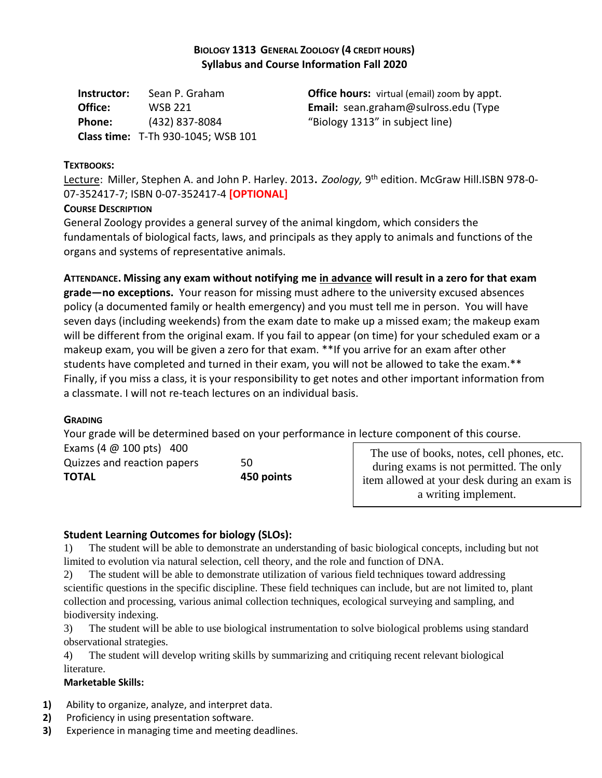# **BIOLOGY 1313 GENERAL ZOOLOGY (4 CREDIT HOURS) Syllabus and Course Information Fall 2020**

| Instructor: | Sean P. Graham                     |
|-------------|------------------------------------|
| Office:     | <b>WSB 221</b>                     |
| Phone:      | (432) 837-8084                     |
|             | Class time: T-Th 930-1045; WSB 101 |

**Office hours:** virtual (email) zoom by appt. **Email:** sean.graham@sulross.edu (Type "Biology 1313" in subject line)

## **TEXTBOOKS:**

Lecture: Miller, Stephen A. and John P. Harley. 2013**.** *Zoology,* 9 th edition. McGraw Hill.ISBN 978-0- 07-352417-7; ISBN 0-07-352417-4 **[OPTIONAL]**

#### **COURSE DESCRIPTION**

General Zoology provides a general survey of the animal kingdom, which considers the fundamentals of biological facts, laws, and principals as they apply to animals and functions of the organs and systems of representative animals.

**ATTENDANCE. Missing any exam without notifying me in advance will result in a zero for that exam grade—no exceptions.**Your reason for missing must adhere to the university excused absences policy (a documented family or health emergency) and you must tell me in person. You will have seven days (including weekends) from the exam date to make up a missed exam; the makeup exam will be different from the original exam. If you fail to appear (on time) for your scheduled exam or a makeup exam, you will be given a zero for that exam. \*\*If you arrive for an exam after other students have completed and turned in their exam, you will not be allowed to take the exam.\*\* Finally, if you miss a class, it is your responsibility to get notes and other important information from a classmate. I will not re-teach lectures on an individual basis.

# **GRADING**

Your grade will be determined based on your performance in lecture component of this course.

| Exams $(4 \& 100 \text{ pts})$ 400 |            |
|------------------------------------|------------|
| Quizzes and reaction papers        | 50         |
| <b>TOTAL</b>                       | 450 points |

The use of books, notes, cell phones, etc. during exams is not permitted. The only item allowed at your desk during an exam is a writing implement.

# **Student Learning Outcomes for biology (SLOs):**

1) The student will be able to demonstrate an understanding of basic biological concepts, including but not limited to evolution via natural selection, cell theory, and the role and function of DNA.

2) The student will be able to demonstrate utilization of various field techniques toward addressing scientific questions in the specific discipline. These field techniques can include, but are not limited to, plant collection and processing, various animal collection techniques, ecological surveying and sampling, and biodiversity indexing.

3) The student will be able to use biological instrumentation to solve biological problems using standard observational strategies.

4) The student will develop writing skills by summarizing and critiquing recent relevant biological literature.

#### **Marketable Skills:**

- **1)** Ability to organize, analyze, and interpret data.
- **2)** Proficiency in using presentation software.
- **3)** Experience in managing time and meeting deadlines.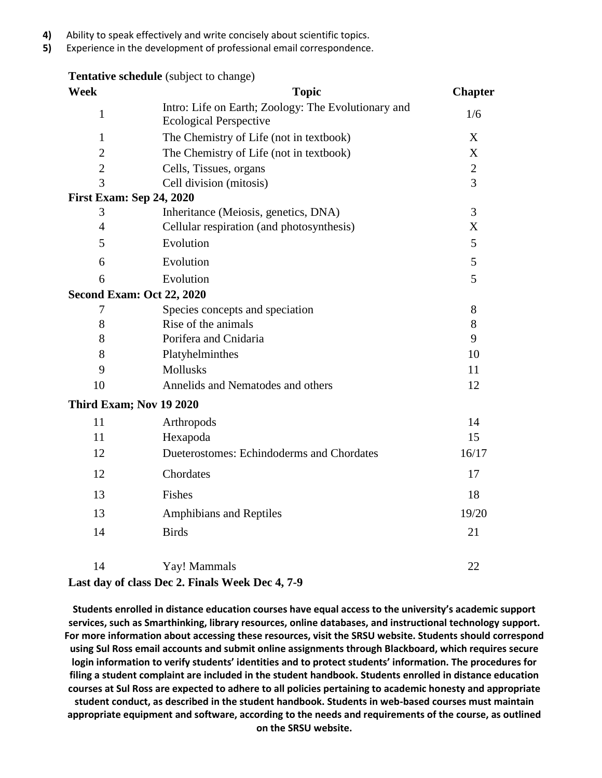- **4)** Ability to speak effectively and write concisely about scientific topics.
- **5)** Experience in the development of professional email correspondence.

| <b>Tentative schedule</b> (subject to change) |  |
|-----------------------------------------------|--|
|-----------------------------------------------|--|

| <b>Week</b>                          | <b>Topic</b>                                                                         | <b>Chapter</b> |
|--------------------------------------|--------------------------------------------------------------------------------------|----------------|
| $\mathbf 1$                          | Intro: Life on Earth; Zoology: The Evolutionary and<br><b>Ecological Perspective</b> | 1/6            |
|                                      |                                                                                      | X              |
| $\mathbf{1}$                         | The Chemistry of Life (not in textbook)                                              |                |
| $\overline{2}$                       | The Chemistry of Life (not in textbook)                                              | X              |
| $\overline{2}$                       | Cells, Tissues, organs                                                               | $\overline{2}$ |
| $\overline{3}$                       | Cell division (mitosis)                                                              | $\overline{3}$ |
| <b>First Exam: Sep 24, 2020</b><br>3 |                                                                                      | 3              |
| $\overline{4}$                       | Inheritance (Meiosis, genetics, DNA)<br>Cellular respiration (and photosynthesis)    | X              |
|                                      |                                                                                      |                |
| 5                                    | Evolution                                                                            | 5              |
| 6                                    | Evolution                                                                            | 5              |
| 6                                    | Evolution                                                                            | 5              |
|                                      | <b>Second Exam: Oct 22, 2020</b>                                                     |                |
| 7                                    | Species concepts and speciation                                                      | 8              |
| 8                                    | Rise of the animals                                                                  | 8              |
| 8                                    | Porifera and Cnidaria                                                                | 9              |
| 8                                    | Platyhelminthes                                                                      | 10             |
| 9                                    | <b>Mollusks</b>                                                                      | 11             |
| 10                                   | Annelids and Nematodes and others                                                    | 12             |
|                                      | Third Exam; Nov 19 2020                                                              |                |
| 11                                   | Arthropods                                                                           | 14             |
| 11                                   | Hexapoda                                                                             | 15             |
| 12                                   | Dueterostomes: Echindoderms and Chordates                                            | 16/17          |
| 12                                   | Chordates                                                                            | 17             |
| 13                                   | Fishes                                                                               | 18             |
| 13                                   | <b>Amphibians and Reptiles</b>                                                       | 19/20          |
| 14                                   | <b>Birds</b>                                                                         | 21             |
| 14                                   | Yay! Mammals                                                                         | 22             |
|                                      | Legislav of class Dee 2. Finals Week Dee 4, 7.0                                      |                |

**Last day of class Dec 2. Finals Week Dec 4, 7-9**

**Students enrolled in distance education courses have equal access to the university's academic support services, such as Smarthinking, library resources, online databases, and instructional technology support. For more information about accessing these resources, visit the SRSU website. Students should correspond using Sul Ross email accounts and submit online assignments through Blackboard, which requires secure login information to verify students' identities and to protect students' information. The procedures for filing a student complaint are included in the student handbook. Students enrolled in distance education courses at Sul Ross are expected to adhere to all policies pertaining to academic honesty and appropriate student conduct, as described in the student handbook. Students in web-based courses must maintain appropriate equipment and software, according to the needs and requirements of the course, as outlined on the SRSU website.**